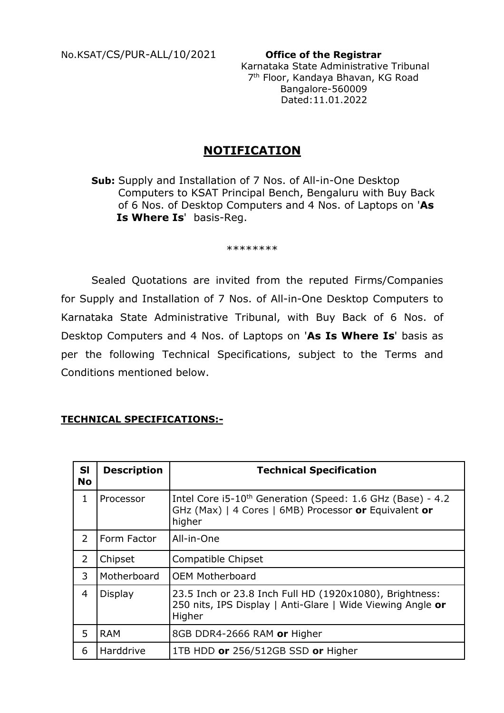No.KSAT/CS/PUR-ALL/10/2021 **Office of the Registrar**

 Karnataka State Administrative Tribunal 7th Floor, Kandaya Bhavan, KG Road Bangalore-560009 Dated:11.01.2022

# **NOTIFICATION**

**Sub:** Supply and Installation of 7 Nos. of All-in-One Desktop Computers to KSAT Principal Bench, Bengaluru with Buy Back of 6 Nos. of Desktop Computers and 4 Nos. of Laptops on '**As Is Where Is**' basis-Reg.

\*\*\*\*\*\*\*\*

Sealed Quotations are invited from the reputed Firms/Companies for Supply and Installation of 7 Nos. of All-in-One Desktop Computers to Karnataka State Administrative Tribunal, with Buy Back of 6 Nos. of Desktop Computers and 4 Nos. of Laptops on '**As Is Where Is**' basis as per the following Technical Specifications, subject to the Terms and Conditions mentioned below.

### **TECHNICAL SPECIFICATIONS:-**

| <b>SI</b><br><b>No</b> | <b>Description</b> | <b>Technical Specification</b>                                                                                                            |
|------------------------|--------------------|-------------------------------------------------------------------------------------------------------------------------------------------|
| 1                      | Processor          | Intel Core i5-10 <sup>th</sup> Generation (Speed: 1.6 GHz (Base) - 4.2<br>GHz (Max)   4 Cores   6MB) Processor or Equivalent or<br>higher |
| $\overline{2}$         | Form Factor        | All-in-One                                                                                                                                |
| 2                      | Chipset            | Compatible Chipset                                                                                                                        |
| 3                      | Motherboard        | <b>OEM Motherboard</b>                                                                                                                    |
| $\overline{4}$         | <b>Display</b>     | 23.5 Inch or 23.8 Inch Full HD (1920x1080), Brightness:<br>250 nits, IPS Display   Anti-Glare   Wide Viewing Angle or<br>Higher           |
| 5                      | <b>RAM</b>         | 8GB DDR4-2666 RAM or Higher                                                                                                               |
| 6                      | Harddrive          | 1TB HDD or 256/512GB SSD or Higher                                                                                                        |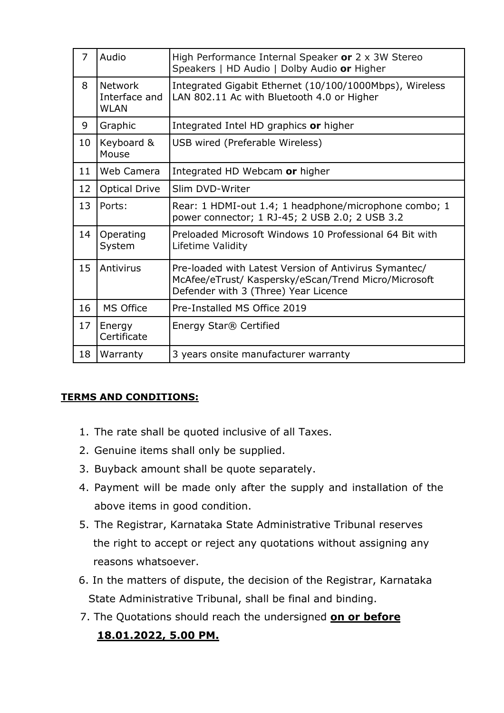| $\overline{7}$ | Audio                                          | High Performance Internal Speaker or 2 x 3W Stereo<br>Speakers   HD Audio   Dolby Audio or Higher                                                     |
|----------------|------------------------------------------------|-------------------------------------------------------------------------------------------------------------------------------------------------------|
| 8              | <b>Network</b><br>Interface and<br><b>WLAN</b> | Integrated Gigabit Ethernet (10/100/1000Mbps), Wireless<br>LAN 802.11 Ac with Bluetooth 4.0 or Higher                                                 |
| 9              | Graphic                                        | Integrated Intel HD graphics or higher                                                                                                                |
| 10             | Keyboard &<br>Mouse                            | USB wired (Preferable Wireless)                                                                                                                       |
| 11             | Web Camera                                     | Integrated HD Webcam or higher                                                                                                                        |
| 12             | <b>Optical Drive</b>                           | Slim DVD-Writer                                                                                                                                       |
| 13             | Ports:                                         | Rear: 1 HDMI-out 1.4; 1 headphone/microphone combo; 1<br>power connector; 1 RJ-45; 2 USB 2.0; 2 USB 3.2                                               |
| 14             | Operating<br>System                            | Preloaded Microsoft Windows 10 Professional 64 Bit with<br>Lifetime Validity                                                                          |
| 15             | Antivirus                                      | Pre-loaded with Latest Version of Antivirus Symantec/<br>McAfee/eTrust/ Kaspersky/eScan/Trend Micro/Microsoft<br>Defender with 3 (Three) Year Licence |
| 16             | MS Office                                      | Pre-Installed MS Office 2019                                                                                                                          |
| 17             | Energy<br>Certificate                          | Energy Star® Certified                                                                                                                                |
| 18             | Warranty                                       | 3 years onsite manufacturer warranty                                                                                                                  |

### **TERMS AND CONDITIONS:**

- 1. The rate shall be quoted inclusive of all Taxes.
- 2. Genuine items shall only be supplied.
- 3. Buyback amount shall be quote separately.
- 4. Payment will be made only after the supply and installation of the above items in good condition.
- 5. The Registrar, Karnataka State Administrative Tribunal reserves the right to accept or reject any quotations without assigning any reasons whatsoever.
- 6. In the matters of dispute, the decision of the Registrar, Karnataka State Administrative Tribunal, shall be final and binding.
- 7. The Quotations should reach the undersigned **on or before 18.01.2022, 5.00 PM.**